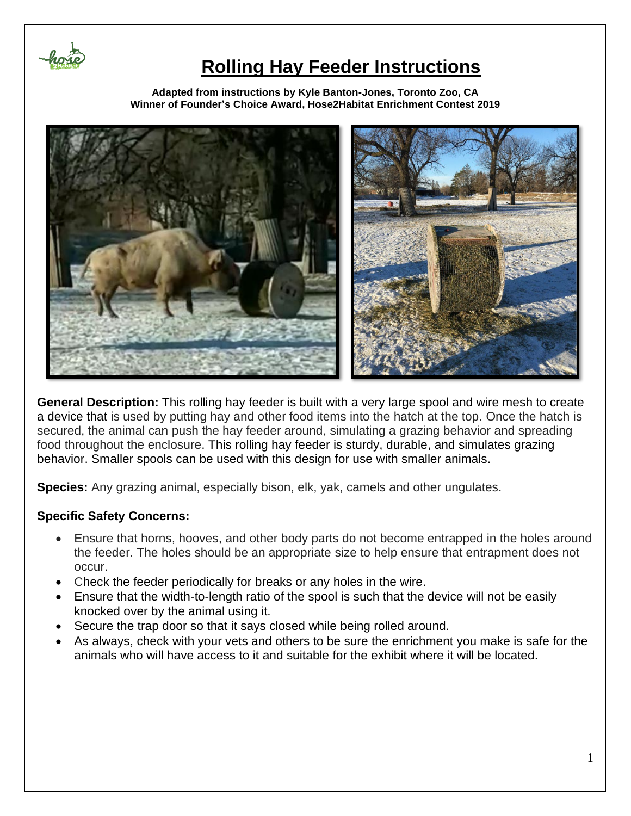

**Adapted from instructions by Kyle Banton-Jones, Toronto Zoo, CA Winner of Founder's Choice Award, Hose2Habitat Enrichment Contest 2019**



**General Description:** This rolling hay feeder is built with a very large spool and wire mesh to create a device that is used by putting hay and other food items into the hatch at the top. Once the hatch is secured, the animal can push the hay feeder around, simulating a grazing behavior and spreading food throughout the enclosure. This rolling hay feeder is sturdy, durable, and simulates grazing behavior. Smaller spools can be used with this design for use with smaller animals.

**Species:** Any grazing animal, especially bison, elk, yak, camels and other ungulates.

### **Specific Safety Concerns:**

- Ensure that horns, hooves, and other body parts do not become entrapped in the holes around the feeder. The holes should be an appropriate size to help ensure that entrapment does not occur.
- Check the feeder periodically for breaks or any holes in the wire.
- Ensure that the width-to-length ratio of the spool is such that the device will not be easily knocked over by the animal using it.
- Secure the trap door so that it says closed while being rolled around.
- As always, check with your vets and others to be sure the enrichment you make is safe for the animals who will have access to it and suitable for the exhibit where it will be located.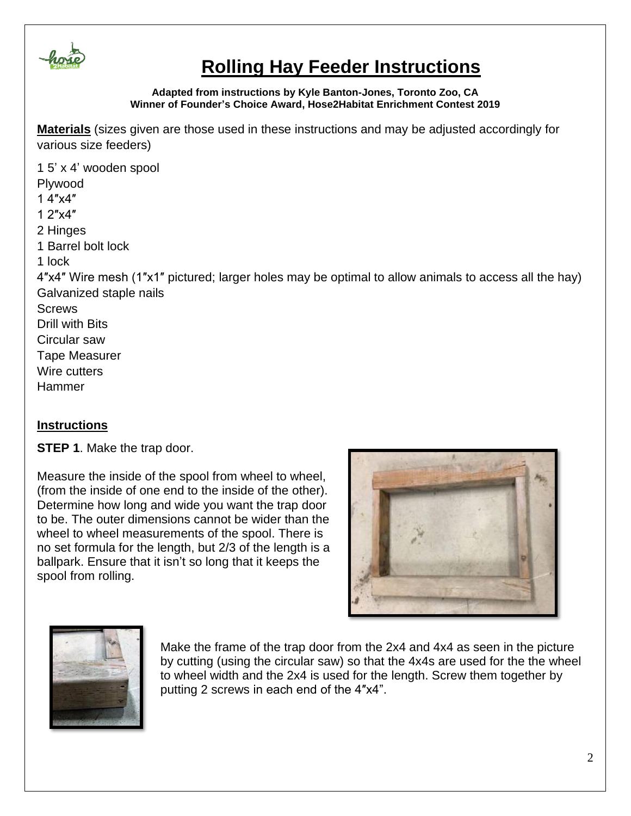

#### **Adapted from instructions by Kyle Banton-Jones, Toronto Zoo, CA Winner of Founder's Choice Award, Hose2Habitat Enrichment Contest 2019**

**Materials** (sizes given are those used in these instructions and may be adjusted accordingly for various size feeders)

1 5' x 4' wooden spool Plywood 1 4″x4″ 1 2″x4″ 2 Hinges 1 Barrel bolt lock 1 lock 4″x4″ Wire mesh (1″x1″ pictured; larger holes may be optimal to allow animals to access all the hay) Galvanized staple nails **Screws** Drill with Bits Circular saw Tape Measurer Wire cutters Hammer

### **Instructions**

**STEP 1**. Make the trap door.

Measure the inside of the spool from wheel to wheel, (from the inside of one end to the inside of the other). Determine how long and wide you want the trap door to be. The outer dimensions cannot be wider than the wheel to wheel measurements of the spool. There is no set formula for the length, but 2/3 of the length is a ballpark. Ensure that it isn't so long that it keeps the spool from rolling.





Make the frame of the trap door from the 2x4 and 4x4 as seen in the picture by cutting (using the circular saw) so that the 4x4s are used for the the wheel to wheel width and the 2x4 is used for the length. Screw them together by putting 2 screws in each end of the 4″x4".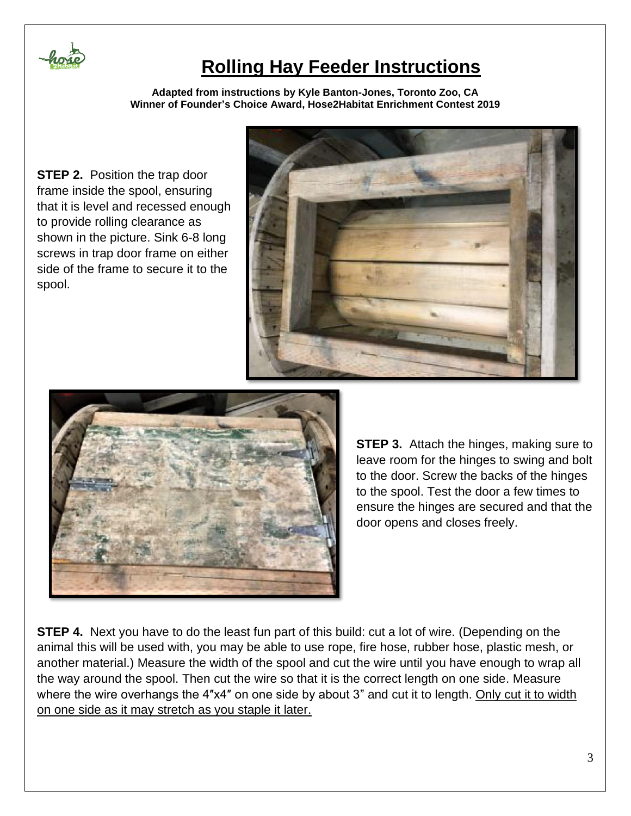

**Adapted from instructions by Kyle Banton-Jones, Toronto Zoo, CA Winner of Founder's Choice Award, Hose2Habitat Enrichment Contest 2019**

**STEP 2.** Position the trap door frame inside the spool, ensuring that it is level and recessed enough to provide rolling clearance as shown in the picture. Sink 6-8 long screws in trap door frame on either side of the frame to secure it to the spool.





**STEP 3.** Attach the hinges, making sure to leave room for the hinges to swing and bolt to the door. Screw the backs of the hinges to the spool. Test the door a few times to ensure the hinges are secured and that the door opens and closes freely.

**STEP 4.** Next you have to do the least fun part of this build: cut a lot of wire. (Depending on the animal this will be used with, you may be able to use rope, fire hose, rubber hose, plastic mesh, or another material.) Measure the width of the spool and cut the wire until you have enough to wrap all the way around the spool. Then cut the wire so that it is the correct length on one side. Measure where the wire overhangs the 4"x4" on one side by about 3" and cut it to length. Only cut it to width on one side as it may stretch as you staple it later.